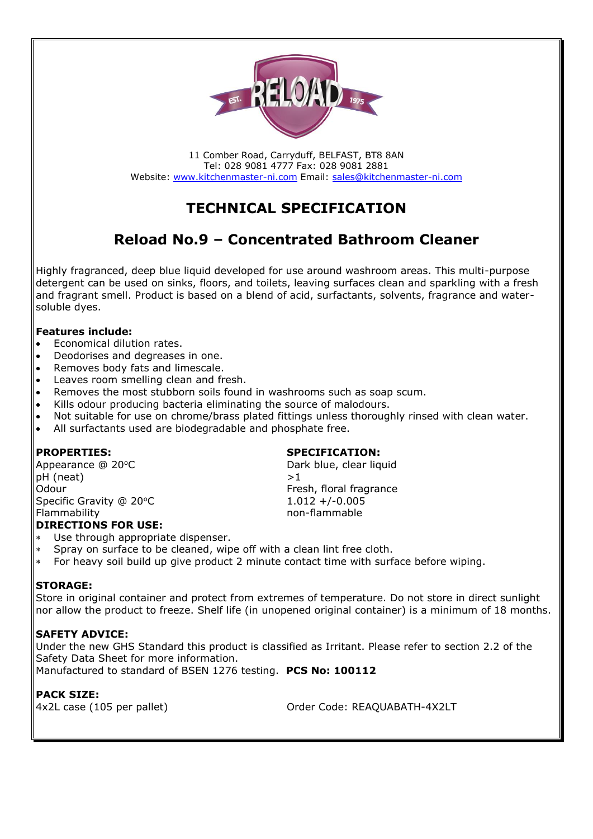

11 Comber Road, Carryduff, BELFAST, BT8 8AN Tel: 028 9081 4777 Fax: 028 9081 2881 Website: [www.kitchenmaster-ni.com](http://www.kitchenmaster-ni.com/) Email: [sales@kitchenmaster-ni.com](mailto:sales@kitchenmaster-ni.com)

# **TECHNICAL SPECIFICATION**

# **Reload No.9 – Concentrated Bathroom Cleaner**

Highly fragranced, deep blue liquid developed for use around washroom areas. This multi-purpose detergent can be used on sinks, floors, and toilets, leaving surfaces clean and sparkling with a fresh and fragrant smell. Product is based on a blend of acid, surfactants, solvents, fragrance and watersoluble dyes.

# **Features include:**

- Economical dilution rates.
- Deodorises and degreases in one.
- Removes body fats and limescale.
- Leaves room smelling clean and fresh.
- Removes the most stubborn soils found in washrooms such as soap scum.
- Kills odour producing bacteria eliminating the source of malodours.
- Not suitable for use on chrome/brass plated fittings unless thoroughly rinsed with clean water.
- All surfactants used are biodegradable and phosphate free.

Appearance @ 20°C Dark blue, clear liquid  $pH$  (neat)  $>1$ Odour **Fresh, floral fragrance Fresh, floral fragrance** Specific Gravity @ 20°C 1.012 +/-0.005 Flammability **non-flammable** 

## **DIRECTIONS FOR USE:**

- Use through appropriate dispenser.
- Spray on surface to be cleaned, wipe off with a clean lint free cloth.
- For heavy soil build up give product 2 minute contact time with surface before wiping.

## **STORAGE:**

Store in original container and protect from extremes of temperature. Do not store in direct sunlight nor allow the product to freeze. Shelf life (in unopened original container) is a minimum of 18 months.

## **SAFETY ADVICE:**

Under the new GHS Standard this product is classified as Irritant. Please refer to section 2.2 of the Safety Data Sheet for more information. Manufactured to standard of BSEN 1276 testing. **PCS No: 100112**

**PACK SIZE:**

4x2L case (105 per pallet) Order Code: REAQUABATH-4X2LT

### **PROPERTIES: SPECIFICATION:**